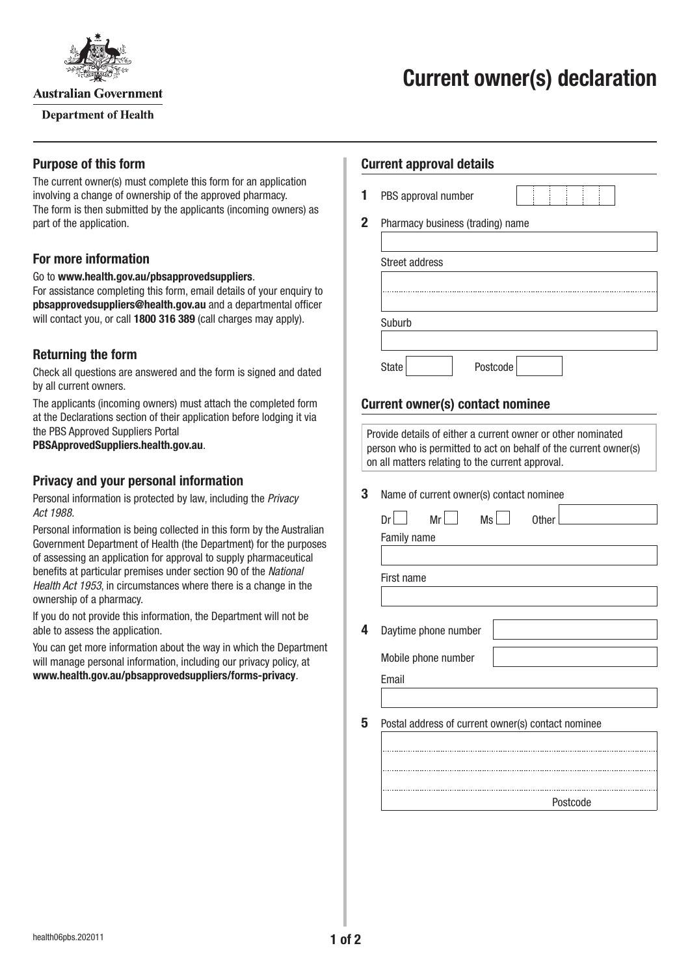

**Australian Government** 

**Department of Health** 

#### **Purpose of this form**

The current owner(s) must complete this form for an application involving a change of ownership of the approved pharmacy. The form is then submitted by the applicants (incoming owners) as part of the application.

# **For more information**

Go to **[www.health.gov.au/pbsapprovedsuppliers](http://www.health.gov.au/pbsapprovedsuppliers)**.

For assistance completing this form, email details of your enquiry to **[pbsapprovedsuppliers@health.gov.au](mailto:pbsapprovedsuppliers@health.gov.au)** and a departmental officer will contact you, or call **1800 316 389** (call charges may apply).

# **Returning the form**

Check all questions are answered and the form is signed and dated by all current owners.

The applicants (incoming owners) must attach the completed form at the Declarations section of their application before lodging it via the PBS Approved Suppliers Portal

**[PBSApprovedSuppliers.health.gov.au](http://PBSApprovedSuppliers.health.gov.au)**.

### **Privacy and your personal information**

Personal information is protected by law, including the *Privacy Act 1988.*

Personal information is being collected in this form by the Australian Government Department of Health (the Department) for the purposes of assessing an application for approval to supply pharmaceutical benefits at particular premises under section 90 of the *National Health Act 1953*, in circumstances where there is a change in the ownership of a pharmacy.

If you do not provide this information, the Department will not be able to assess the application.

You can get more information about the way in which the Department will manage personal information, including our privacy policy, at **[www.health.gov.au/pbsapprovedsuppliers/forms-privacy](http://www.health.gov.au/pbsapprovedsuppliers/forms-privacy)**.

#### **Current approval details**

**1** PBS approval number

**2** Pharmacy business (trading) name

| <b>Street address</b> |          |
|-----------------------|----------|
|                       |          |
|                       |          |
| Suburb                |          |
|                       |          |
| <b>State</b>          | Postcode |

# **Current owner(s) contact nominee**

Provide details of either a current owner or other nominated person who is permitted to act on behalf of the current owner(s) on all matters relating to the current approval.

#### **3** Name of current owner(s) contact nominee

| Ms<br>Mr<br>Dr                                     |  | <b>Other</b> |  |
|----------------------------------------------------|--|--------------|--|
| Family name                                        |  |              |  |
|                                                    |  |              |  |
| First name                                         |  |              |  |
|                                                    |  |              |  |
|                                                    |  |              |  |
| Daytime phone number                               |  |              |  |
| Mobile phone number                                |  |              |  |
| Email                                              |  |              |  |
|                                                    |  |              |  |
|                                                    |  |              |  |
| Postal address of current owner(s) contact nominee |  |              |  |
|                                                    |  |              |  |
|                                                    |  |              |  |
|                                                    |  |              |  |
|                                                    |  | Postcode     |  |